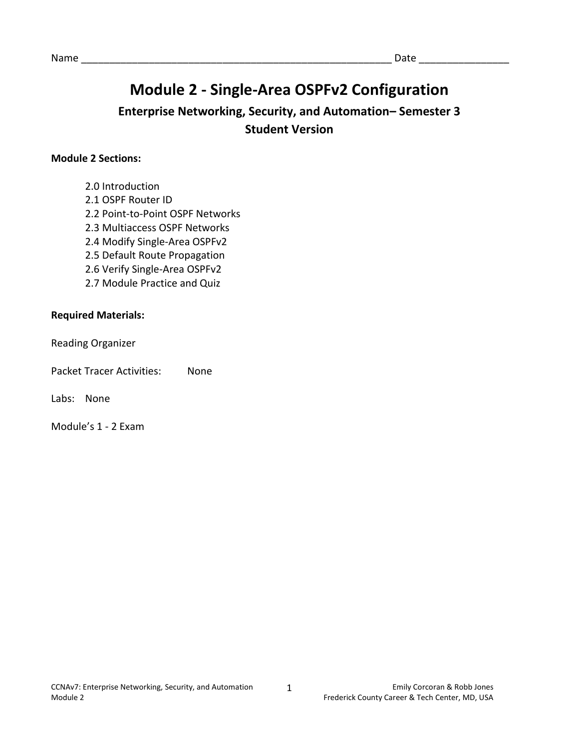# **Module 2 - Single-Area OSPFv2 Configuration**

**Enterprise Networking, Security, and Automation– Semester 3 Student Version**

#### **Module 2 Sections:**

- 2.0 Introduction
- 2.1 OSPF Router ID
- 2.2 Point-to-Point OSPF Networks
- 2.3 Multiaccess OSPF Networks
- 2.4 Modify Single-Area OSPFv2
- 2.5 Default Route Propagation
- 2.6 Verify Single-Area OSPFv2
- 2.7 Module Practice and Quiz

#### **Required Materials:**

Reading Organizer

Packet Tracer Activities: None

Labs: None

Module's 1 - 2 Exam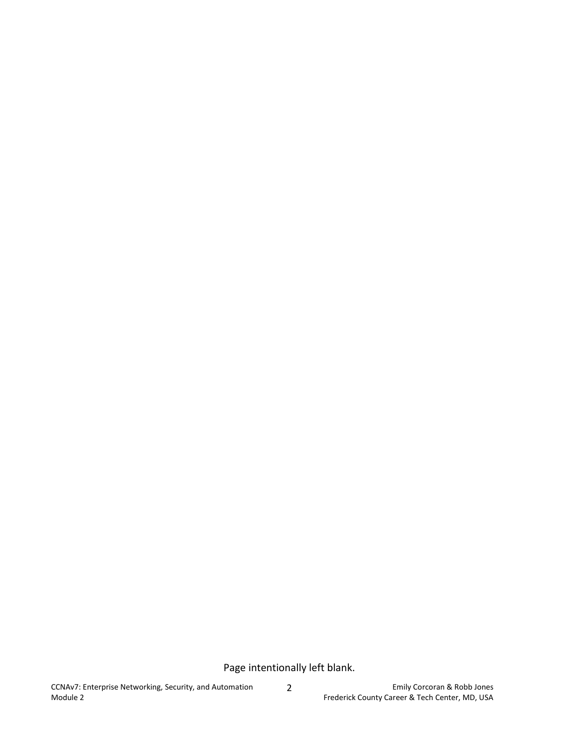Page intentionally left blank.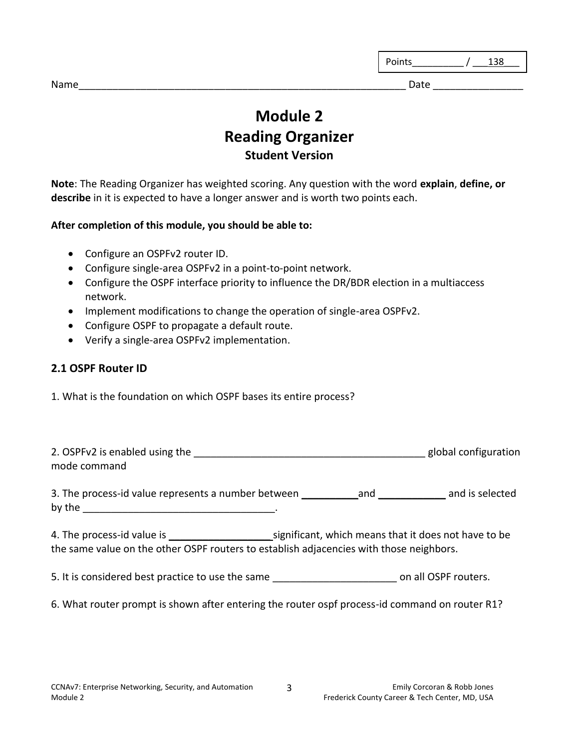Name\_\_\_\_\_\_\_\_\_\_\_\_\_\_\_\_\_\_\_\_\_\_\_\_\_\_\_\_\_\_\_\_\_\_\_\_\_\_\_\_\_\_\_\_\_\_\_\_\_\_\_\_\_\_\_\_\_\_ Date \_\_\_\_\_\_\_\_\_\_\_\_\_\_\_\_

# **Module 2 Reading Organizer Student Version**

**Note**: The Reading Organizer has weighted scoring. Any question with the word **explain**, **define, or describe** in it is expected to have a longer answer and is worth two points each.

#### **After completion of this module, you should be able to:**

- Configure an OSPFv2 router ID.
- Configure single-area OSPFv2 in a point-to-point network.
- Configure the OSPF interface priority to influence the DR/BDR election in a multiaccess network.
- Implement modifications to change the operation of single-area OSPFv2.
- Configure OSPF to propagate a default route.
- Verify a single-area OSPFv2 implementation.

# **2.1 OSPF Router ID**

1. What is the foundation on which OSPF bases its entire process?

| 2. OSPFv2 is enabled using the | global configuration |
|--------------------------------|----------------------|
| mode command                   |                      |

3. The process-id value represents a number between \_\_\_\_\_\_\_\_\_\_and \_\_\_\_\_\_\_\_\_\_\_\_ and is selected by the  $\Box$ 

4. The process-id value is \_\_\_\_\_\_\_\_\_\_\_\_\_\_\_\_\_\_ significant, which means that it does not have to be the same value on the other OSPF routers to establish adjacencies with those neighbors.

5. It is considered best practice to use the same \_\_\_\_\_\_\_\_\_\_\_\_\_\_\_\_\_\_\_\_\_\_\_\_\_\_\_\_\_\_ on all OSPF routers.

6. What router prompt is shown after entering the router ospf process-id command on router R1?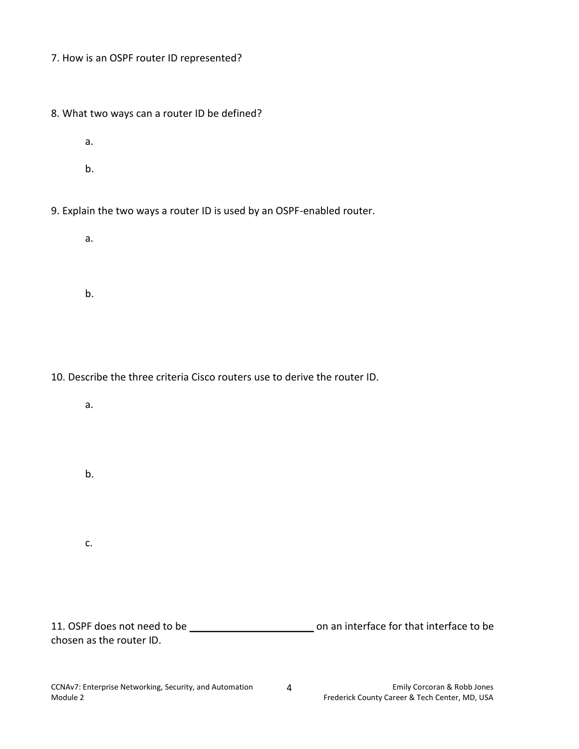7. How is an OSPF router ID represented?

8. What two ways can a router ID be defined?

- a.
- b.

b.

- 9. Explain the two ways a router ID is used by an OSPF-enabled router.
	- a.

- 10. Describe the three criteria Cisco routers use to derive the router ID.
	- a. b. c.

11. OSPF does not need to be \_\_\_\_\_\_\_\_\_\_\_\_\_\_\_\_\_\_\_\_\_\_ on an interface for that interface to be chosen as the router ID.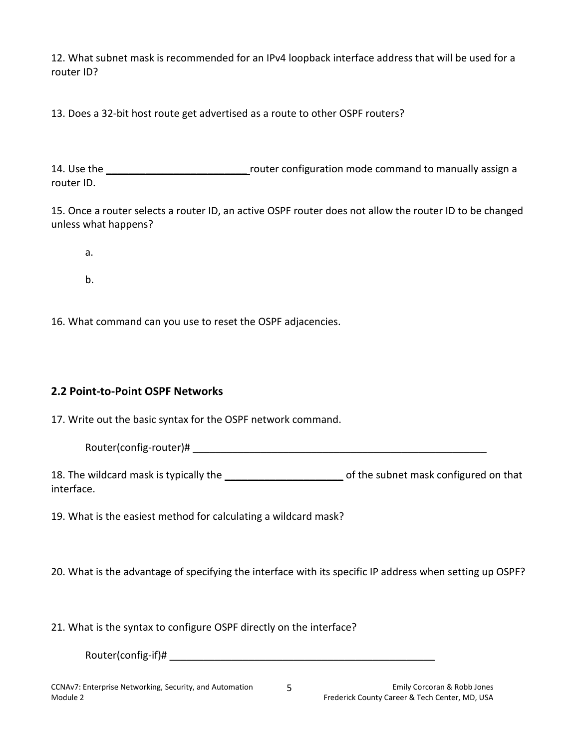12. What subnet mask is recommended for an IPv4 loopback interface address that will be used for a router ID?

13. Does a 32-bit host route get advertised as a route to other OSPF routers?

14. Use the \_\_\_\_\_\_\_\_\_\_\_\_\_\_\_\_\_\_\_\_\_\_\_\_\_\_\_\_\_\_\_\_\_router configuration mode command to manually assign a router ID.

15. Once a router selects a router ID, an active OSPF router does not allow the router ID to be changed unless what happens?

a.

b.

16. What command can you use to reset the OSPF adjacencies.

## **2.2 Point-to-Point OSPF Networks**

17. Write out the basic syntax for the OSPF network command.

Router(config-router)# \_\_\_\_\_\_\_\_\_\_\_\_\_\_\_\_\_\_\_\_\_\_\_\_\_\_\_\_\_\_\_\_\_\_\_\_\_\_\_\_\_\_\_\_\_\_\_\_\_\_\_\_

18. The wildcard mask is typically the \_\_\_\_\_\_\_\_\_\_\_\_\_\_\_\_\_\_\_\_\_ of the subnet mask configured on that interface.

19. What is the easiest method for calculating a wildcard mask?

20. What is the advantage of specifying the interface with its specific IP address when setting up OSPF?

21. What is the syntax to configure OSPF directly on the interface?

Router(config-if)# \_\_\_\_\_\_\_\_\_\_\_\_\_\_\_\_\_\_\_\_\_\_\_\_\_\_\_\_\_\_\_\_\_\_\_\_\_\_\_\_\_\_\_\_\_\_\_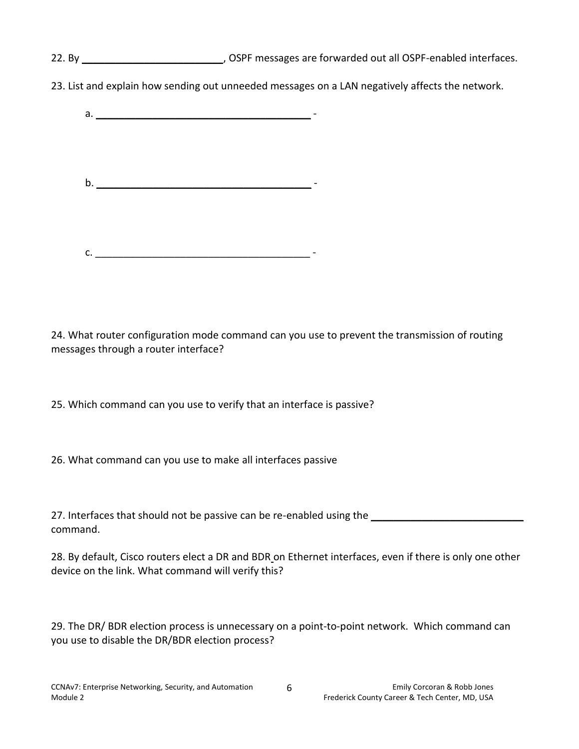22. By **Exercise 22. By**  $\overline{O}$ , OSPF messages are forwarded out all OSPF-enabled interfaces.

23. List and explain how sending out unneeded messages on a LAN negatively affects the network.

a.  $\Box$  $b.$  $c.$   $\overline{\phantom{a}}$ 

24. What router configuration mode command can you use to prevent the transmission of routing messages through a router interface?

25. Which command can you use to verify that an interface is passive?

26. What command can you use to make all interfaces passive

27. Interfaces that should not be passive can be re-enabled using the command.

28. By default, Cisco routers elect a DR and BDR on Ethernet interfaces, even if there is only one other device on the link. What command will verify this?

29. The DR/ BDR election process is unnecessary on a point-to-point network. Which command can you use to disable the DR/BDR election process?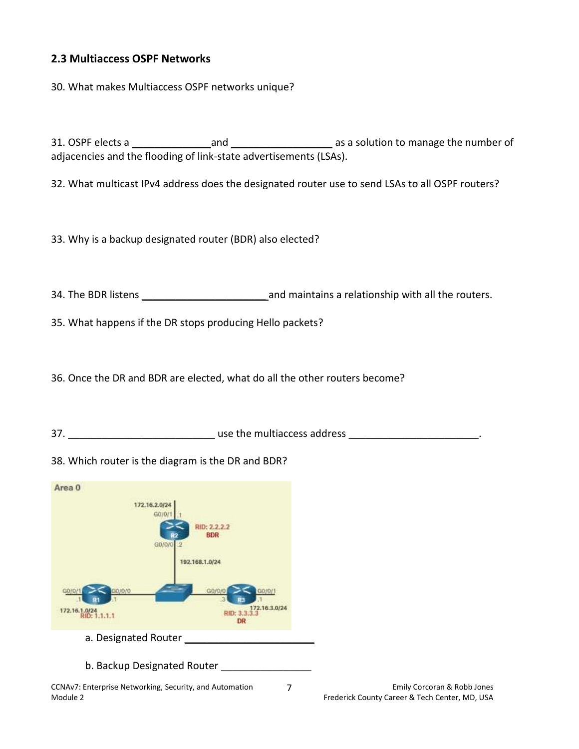#### **2.3 Multiaccess OSPF Networks**

30. What makes Multiaccess OSPF networks unique?

31. OSPF elects a \_\_\_\_\_\_\_\_\_\_\_\_\_\_and \_\_\_\_\_\_\_\_\_\_\_\_\_\_\_\_\_\_ as a solution to manage the number of adjacencies and the flooding of link-state advertisements (LSAs).

32. What multicast IPv4 address does the designated router use to send LSAs to all OSPF routers?

33. Why is a backup designated router (BDR) also elected?

34. The BDR listens \_\_\_\_\_\_\_\_\_\_\_\_\_\_\_\_\_\_\_\_\_\_ and maintains a relationship with all the routers.

35. What happens if the DR stops producing Hello packets?

36. Once the DR and BDR are elected, what do all the other routers become?

37. **Example 20 and 20 and 37.** The multiaccess address  $\overline{a}$  and  $\overline{b}$ .

38. Which router is the diagram is the DR and BDR?



Module 2 **Frederick County Career & Tech Center, MD, USA** Frederick County Career & Tech Center, MD, USA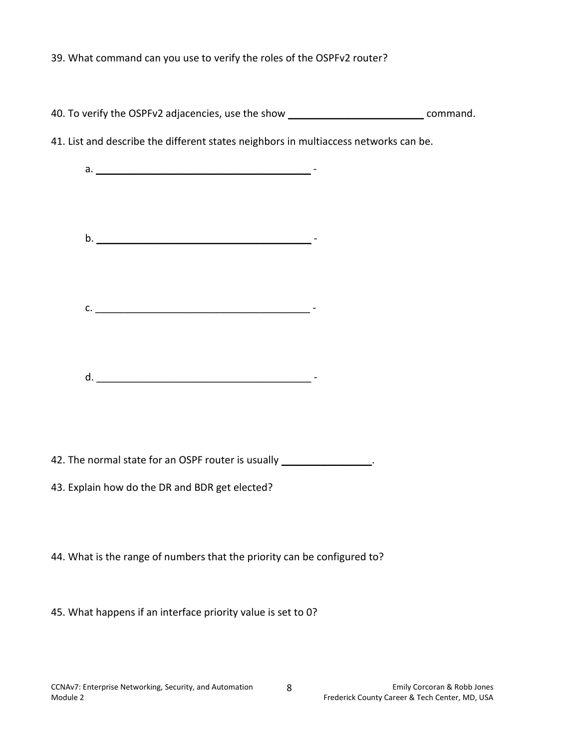39. What command can you use to verify the roles of the OSPFv2 router?

40. To verify the OSPFv2 adjacencies, use the show \_\_\_\_\_\_\_\_\_\_\_\_\_\_\_\_\_\_\_\_\_\_\_\_\_\_\_\_\_ command.

41. List and describe the different states neighbors in multiaccess networks can be.

| $\mathsf{b}$ .                                                           |  |
|--------------------------------------------------------------------------|--|
|                                                                          |  |
|                                                                          |  |
|                                                                          |  |
|                                                                          |  |
|                                                                          |  |
|                                                                          |  |
|                                                                          |  |
|                                                                          |  |
|                                                                          |  |
|                                                                          |  |
|                                                                          |  |
| 42. The normal state for an OSPF router is usually ________________.     |  |
|                                                                          |  |
| 43. Explain how do the DR and BDR get elected?                           |  |
|                                                                          |  |
|                                                                          |  |
|                                                                          |  |
| 44. What is the range of numbers that the priority can be configured to? |  |
|                                                                          |  |

45. What happens if an interface priority value is set to 0?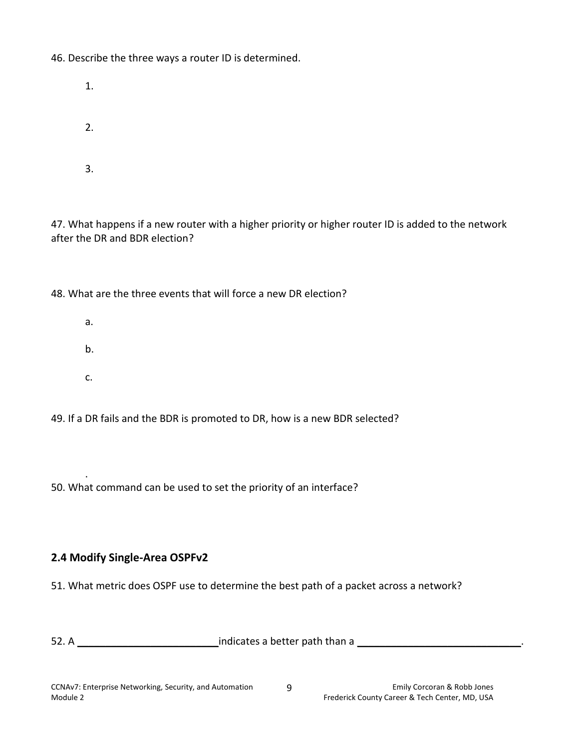46. Describe the three ways a router ID is determined.

1. 2. 3.

47. What happens if a new router with a higher priority or higher router ID is added to the network after the DR and BDR election?

48. What are the three events that will force a new DR election?

- a.
- b.
- 
- c.

.

49. If a DR fails and the BDR is promoted to DR, how is a new BDR selected?

50. What command can be used to set the priority of an interface?

## **2.4 Modify Single-Area OSPFv2**

51. What metric does OSPF use to determine the best path of a packet across a network?

52. A \_\_\_\_\_\_\_\_\_\_\_\_\_\_\_\_\_\_\_\_\_\_\_\_\_indicates a better path than a \_\_\_\_\_\_\_\_\_\_\_\_\_\_\_\_\_\_\_\_\_\_\_\_\_\_\_\_\_.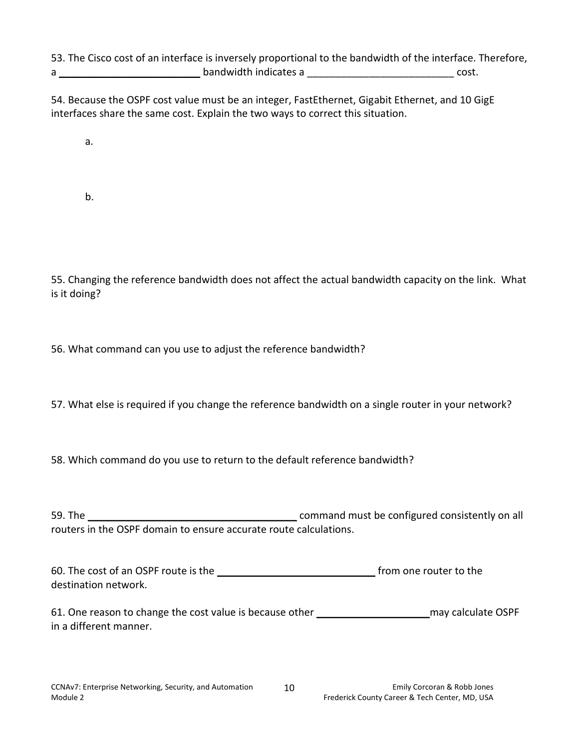53. The Cisco cost of an interface is inversely proportional to the bandwidth of the interface. Therefore, a \_\_\_\_\_\_\_\_\_\_\_\_\_\_\_\_\_\_\_\_\_\_\_\_\_ bandwidth indicates a \_\_\_\_\_\_\_\_\_\_\_\_\_\_\_\_\_\_\_\_\_\_\_\_\_\_ cost.

54. Because the OSPF cost value must be an integer, FastEthernet, Gigabit Ethernet, and 10 GigE interfaces share the same cost. Explain the two ways to correct this situation.

a.

b.

55. Changing the reference bandwidth does not affect the actual bandwidth capacity on the link. What is it doing?

56. What command can you use to adjust the reference bandwidth?

57. What else is required if you change the reference bandwidth on a single router in your network?

58. Which command do you use to return to the default reference bandwidth?

59. The \_\_\_\_\_\_\_\_\_\_\_\_\_\_\_\_\_\_\_\_\_\_\_\_\_\_\_\_\_\_\_\_\_\_\_\_\_ command must be configured consistently on all routers in the OSPF domain to ensure accurate route calculations.

60. The cost of an OSPF route is the \_\_\_\_\_\_\_\_\_\_\_\_\_\_\_\_\_\_\_\_\_\_\_\_\_\_\_\_ from one router to the destination network.

61. One reason to change the cost value is because other \_\_\_\_\_\_\_\_\_\_\_\_\_\_\_\_\_\_\_\_may calculate OSPF in a different manner.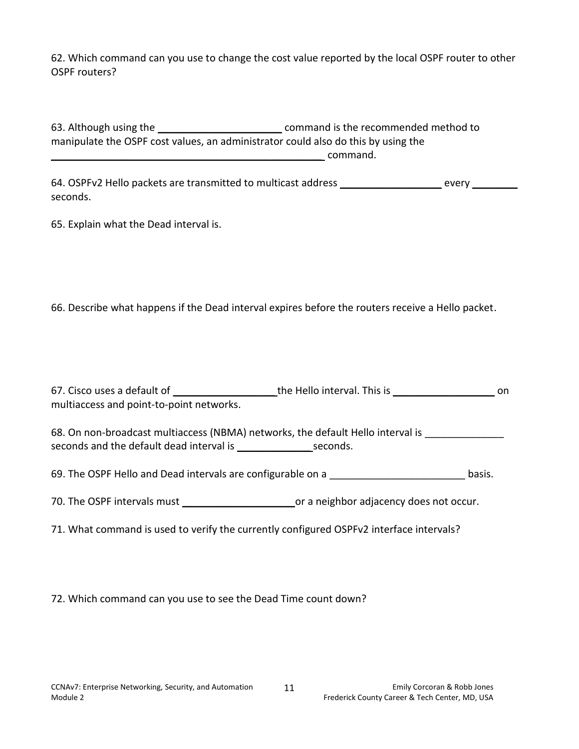62. Which command can you use to change the cost value reported by the local OSPF router to other OSPF routers?

63. Although using the the same of the command is the recommended method to manipulate the OSPF cost values, an administrator could also do this by using the \_\_\_\_\_\_\_\_\_\_\_\_\_\_\_\_\_\_\_\_\_\_\_\_\_\_\_\_\_\_\_\_\_\_\_\_\_\_\_\_\_\_\_\_\_\_\_\_ command.

64. OSPFv2 Hello packets are transmitted to multicast address \_\_\_\_\_\_\_\_\_\_\_\_\_\_\_\_\_\_\_ every \_\_\_\_\_\_\_\_ seconds.

65. Explain what the Dead interval is.

66. Describe what happens if the Dead interval expires before the routers receive a Hello packet.

67. Cisco uses a default of example and the Hello interval. This is example a set on multiaccess and point-to-point networks.

68. On non-broadcast multiaccess (NBMA) networks, the default Hello interval is seconds and the default dead interval is \_\_\_\_\_\_\_\_\_\_\_\_\_ seconds.

69. The OSPF Hello and Dead intervals are configurable on a zero basis.

70. The OSPF intervals must \_\_\_\_\_\_\_\_\_\_\_\_\_\_\_\_\_\_\_\_\_\_\_\_\_\_\_\_\_\_or a neighbor adjacency does not occur.

71. What command is used to verify the currently configured OSPFv2 interface intervals?

72. Which command can you use to see the Dead Time count down?

11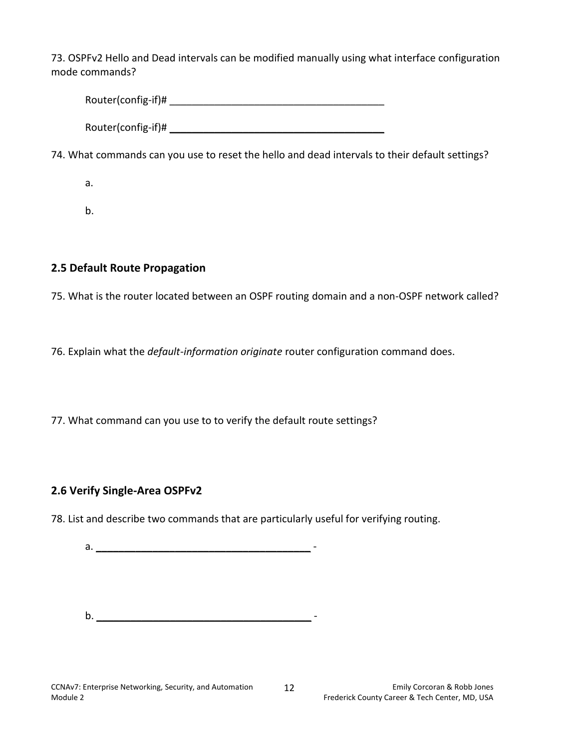73. OSPFv2 Hello and Dead intervals can be modified manually using what interface configuration mode commands?

| Router(config-if)# |  |  |
|--------------------|--|--|
|                    |  |  |

Router(config-if)# \_\_\_\_\_\_\_\_\_\_\_\_\_\_\_\_\_\_\_\_\_\_\_\_\_\_\_\_\_\_\_\_\_\_\_\_\_\_

74. What commands can you use to reset the hello and dead intervals to their default settings?

- a.
- b.

# **2.5 Default Route Propagation**

75. What is the router located between an OSPF routing domain and a non-OSPF network called?

76. Explain what the *default-information originate* router configuration command does.

77. What command can you use to to verify the default route settings?

## **2.6 Verify Single-Area OSPFv2**

78. List and describe two commands that are particularly useful for verifying routing.

a.  $\frac{1}{2}$  -  $\frac{1}{2}$  -  $\frac{1}{2}$  -  $\frac{1}{2}$  -  $\frac{1}{2}$  -  $\frac{1}{2}$  -  $\frac{1}{2}$  -  $\frac{1}{2}$  -  $\frac{1}{2}$  -  $\frac{1}{2}$  -  $\frac{1}{2}$  -  $\frac{1}{2}$  -  $\frac{1}{2}$  -  $\frac{1}{2}$  -  $\frac{1}{2}$  -  $\frac{1}{2}$  -  $\frac{1}{2}$  -  $\frac{1}{2}$  -  $\$ 

b. \_\_\_\_\_\_\_\_\_\_\_\_\_\_\_\_\_\_\_\_\_\_\_\_\_\_\_\_\_\_\_\_\_\_\_\_\_\_ -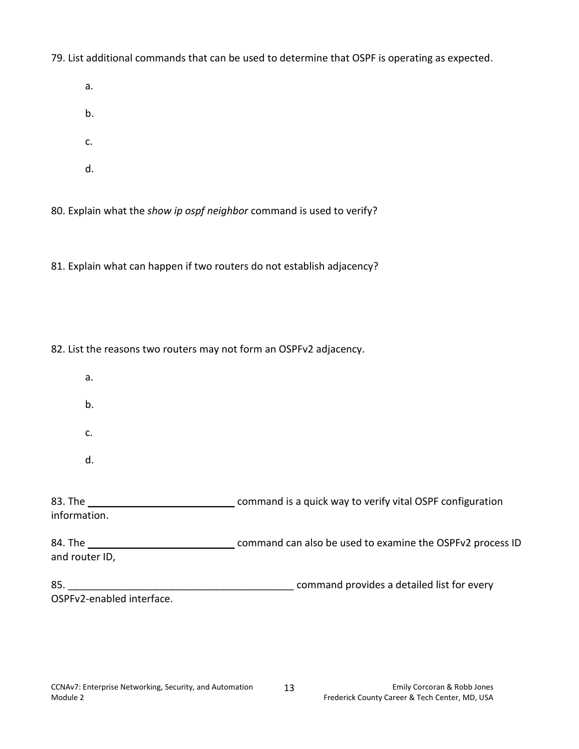79. List additional commands that can be used to determine that OSPF is operating as expected.

a. b. c. d.

80. Explain what the *show ip ospf neighbor* command is used to verify?

81. Explain what can happen if two routers do not establish adjacency?

82. List the reasons two routers may not form an OSPFv2 adjacency.

| OSPFv2-enabled interface.                                                                                                                                                                                                            |                                                           |  |
|--------------------------------------------------------------------------------------------------------------------------------------------------------------------------------------------------------------------------------------|-----------------------------------------------------------|--|
| 85.                                                                                                                                                                                                                                  | command provides a detailed list for every                |  |
| and router ID,                                                                                                                                                                                                                       |                                                           |  |
|                                                                                                                                                                                                                                      | command can also be used to examine the OSPFv2 process ID |  |
| information.                                                                                                                                                                                                                         |                                                           |  |
| 83. The <u>same and the set of the set of the set of the set of the set of the set of the set of the set of the set of the set of the set of the set of the set of the set of the set of the set of the set of the set of the se</u> | command is a quick way to verify vital OSPF configuration |  |
| d.                                                                                                                                                                                                                                   |                                                           |  |
| c.                                                                                                                                                                                                                                   |                                                           |  |
| b.                                                                                                                                                                                                                                   |                                                           |  |
| a.                                                                                                                                                                                                                                   |                                                           |  |